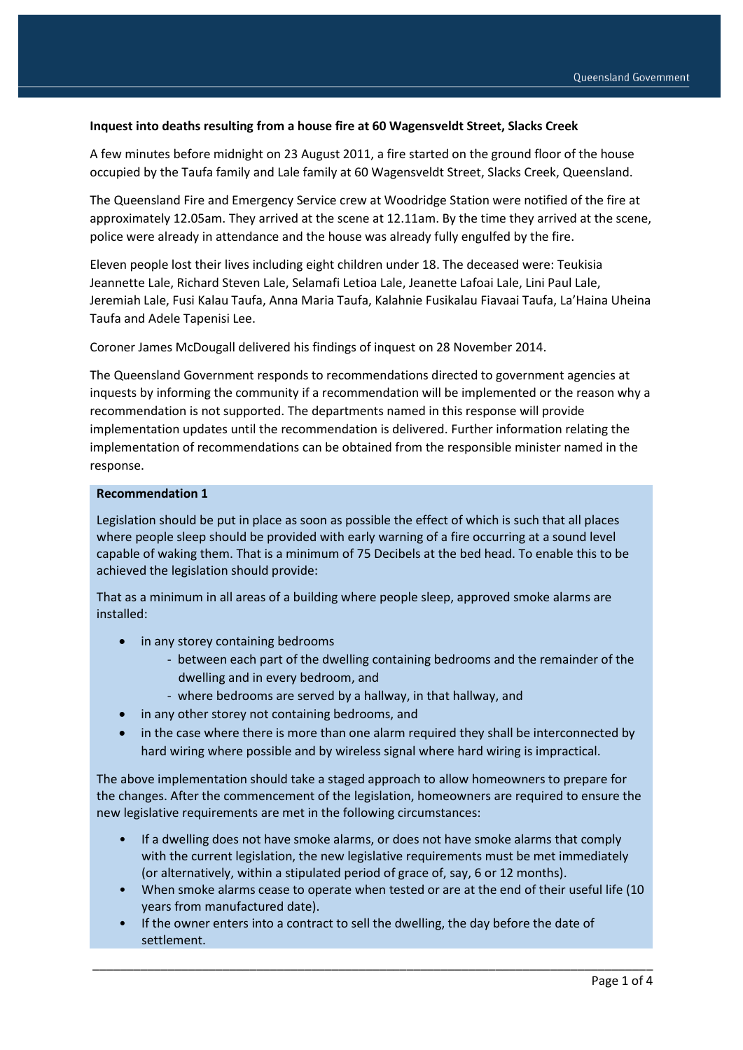#### **Inquest into deaths resulting from a house fire at 60 Wagensveldt Street, Slacks Creek**

A few minutes before midnight on 23 August 2011, a fire started on the ground floor of the house occupied by the Taufa family and Lale family at 60 Wagensveldt Street, Slacks Creek, Queensland.

The Queensland Fire and Emergency Service crew at Woodridge Station were notified of the fire at approximately 12.05am. They arrived at the scene at 12.11am. By the time they arrived at the scene, police were already in attendance and the house was already fully engulfed by the fire.

Eleven people lost their lives including eight children under 18. The deceased were: Teukisia Jeannette Lale, Richard Steven Lale, Selamafi Letioa Lale, Jeanette Lafoai Lale, Lini Paul Lale, Jeremiah Lale, Fusi Kalau Taufa, Anna Maria Taufa, Kalahnie Fusikalau Fiavaai Taufa, La'Haina Uheina Taufa and Adele Tapenisi Lee.

Coroner James McDougall delivered his findings of inquest on 28 November 2014.

The Queensland Government responds to recommendations directed to government agencies at inquests by informing the community if a recommendation will be implemented or the reason why a recommendation is not supported. The departments named in this response will provide implementation updates until the recommendation is delivered. Further information relating the implementation of recommendations can be obtained from the responsible minister named in the response.

#### **Recommendation 1**

Legislation should be put in place as soon as possible the effect of which is such that all places where people sleep should be provided with early warning of a fire occurring at a sound level capable of waking them. That is a minimum of 75 Decibels at the bed head. To enable this to be achieved the legislation should provide:

That as a minimum in all areas of a building where people sleep, approved smoke alarms are installed:

- in any storey containing bedrooms
	- between each part of the dwelling containing bedrooms and the remainder of the dwelling and in every bedroom, and
	- where bedrooms are served by a hallway, in that hallway, and
- in any other storey not containing bedrooms, and
- in the case where there is more than one alarm required they shall be interconnected by hard wiring where possible and by wireless signal where hard wiring is impractical.

The above implementation should take a staged approach to allow homeowners to prepare for the changes. After the commencement of the legislation, homeowners are required to ensure the new legislative requirements are met in the following circumstances:

- If a dwelling does not have smoke alarms, or does not have smoke alarms that comply with the current legislation, the new legislative requirements must be met immediately (or alternatively, within a stipulated period of grace of, say, 6 or 12 months).
- When smoke alarms cease to operate when tested or are at the end of their useful life (10 years from manufactured date).
- If the owner enters into a contract to sell the dwelling, the day before the date of settlement.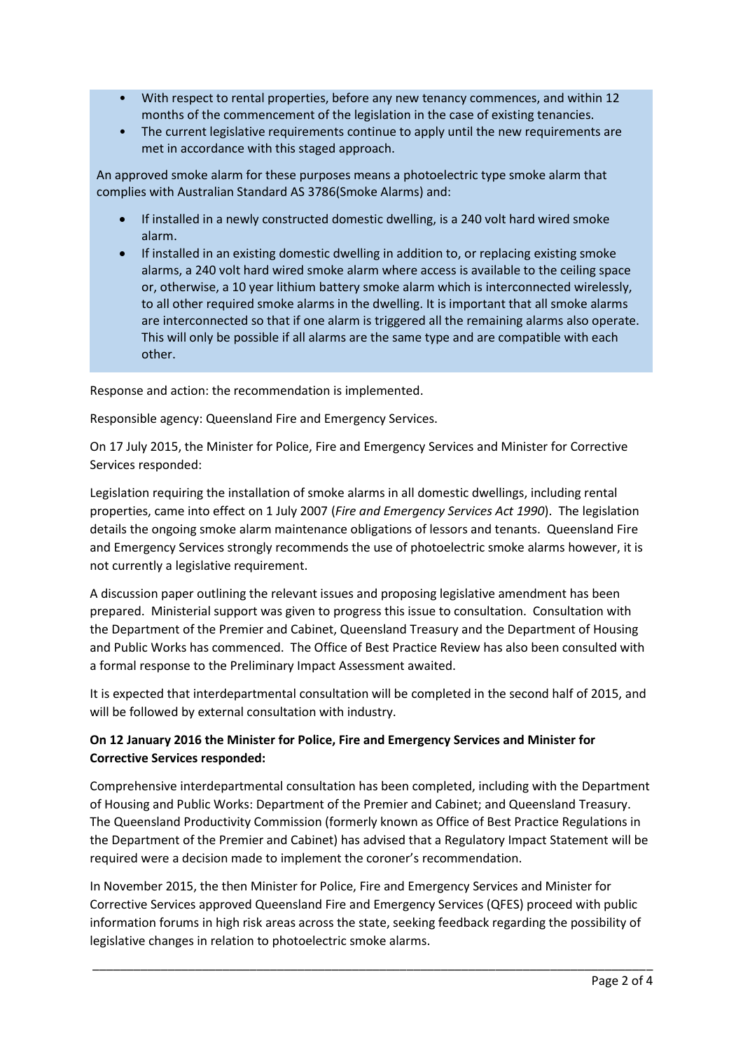- With respect to rental properties, before any new tenancy commences, and within 12 months of the commencement of the legislation in the case of existing tenancies.
- The current legislative requirements continue to apply until the new requirements are met in accordance with this staged approach.

An approved smoke alarm for these purposes means a photoelectric type smoke alarm that complies with Australian Standard AS 3786(Smoke Alarms) and:

- If installed in a newly constructed domestic dwelling, is a 240 volt hard wired smoke alarm.
- If installed in an existing domestic dwelling in addition to, or replacing existing smoke alarms, a 240 volt hard wired smoke alarm where access is available to the ceiling space or, otherwise, a 10 year lithium battery smoke alarm which is interconnected wirelessly, to all other required smoke alarms in the dwelling. It is important that all smoke alarms are interconnected so that if one alarm is triggered all the remaining alarms also operate. This will only be possible if all alarms are the same type and are compatible with each other.

Response and action: the recommendation is implemented.

Responsible agency: Queensland Fire and Emergency Services.

On 17 July 2015, the Minister for Police, Fire and Emergency Services and Minister for Corrective Services responded:

Legislation requiring the installation of smoke alarms in all domestic dwellings, including rental properties, came into effect on 1 July 2007 (*Fire and Emergency Services Act 1990*). The legislation details the ongoing smoke alarm maintenance obligations of lessors and tenants. Queensland Fire and Emergency Services strongly recommends the use of photoelectric smoke alarms however, it is not currently a legislative requirement.

A discussion paper outlining the relevant issues and proposing legislative amendment has been prepared. Ministerial support was given to progress this issue to consultation. Consultation with the Department of the Premier and Cabinet, Queensland Treasury and the Department of Housing and Public Works has commenced. The Office of Best Practice Review has also been consulted with a formal response to the Preliminary Impact Assessment awaited.

It is expected that interdepartmental consultation will be completed in the second half of 2015, and will be followed by external consultation with industry.

# **On 12 January 2016 the Minister for Police, Fire and Emergency Services and Minister for Corrective Services responded:**

Comprehensive interdepartmental consultation has been completed, including with the Department of Housing and Public Works: Department of the Premier and Cabinet; and Queensland Treasury. The Queensland Productivity Commission (formerly known as Office of Best Practice Regulations in the Department of the Premier and Cabinet) has advised that a Regulatory Impact Statement will be required were a decision made to implement the coroner's recommendation.

In November 2015, the then Minister for Police, Fire and Emergency Services and Minister for Corrective Services approved Queensland Fire and Emergency Services (QFES) proceed with public information forums in high risk areas across the state, seeking feedback regarding the possibility of legislative changes in relation to photoelectric smoke alarms.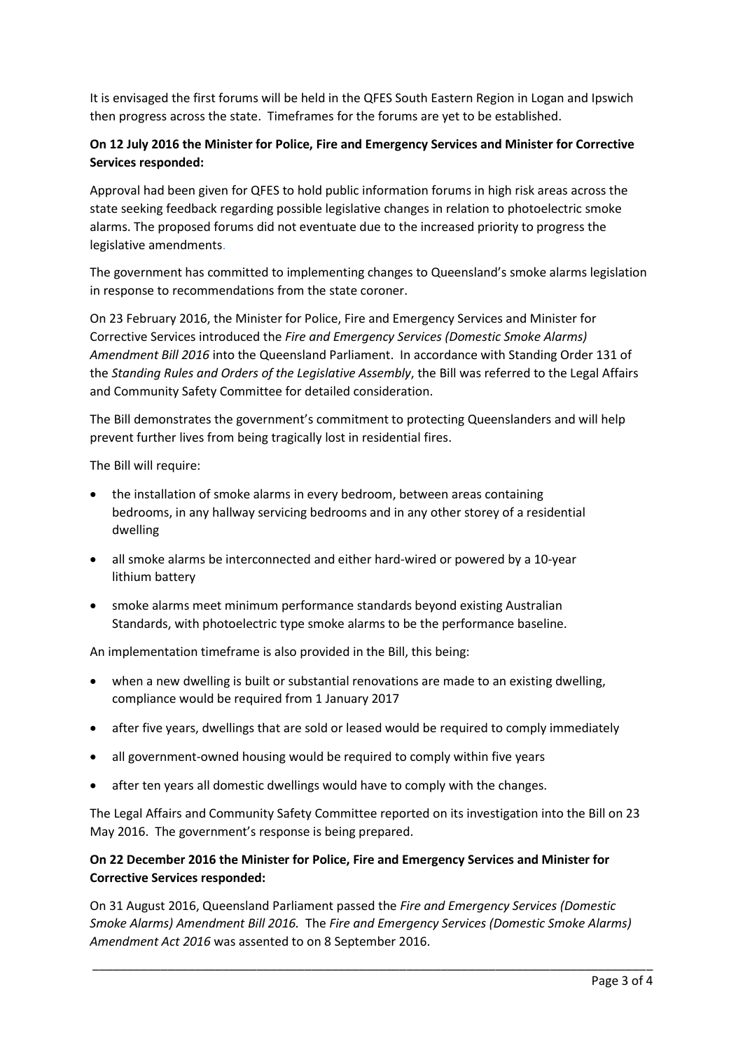It is envisaged the first forums will be held in the QFES South Eastern Region in Logan and Ipswich then progress across the state. Timeframes for the forums are yet to be established.

# **On 12 July 2016 the Minister for Police, Fire and Emergency Services and Minister for Corrective Services responded:**

Approval had been given for QFES to hold public information forums in high risk areas across the state seeking feedback regarding possible legislative changes in relation to photoelectric smoke alarms. The proposed forums did not eventuate due to the increased priority to progress the legislative amendments.

The government has committed to implementing changes to Queensland's smoke alarms legislation in response to recommendations from the state coroner.

On 23 February 2016, the Minister for Police, Fire and Emergency Services and Minister for Corrective Services introduced the *Fire and Emergency Services (Domestic Smoke Alarms) Amendment Bill 2016* into the Queensland Parliament. In accordance with Standing Order 131 of the *Standing Rules and Orders of the Legislative Assembly*, the Bill was referred to the Legal Affairs and Community Safety Committee for detailed consideration.

The Bill demonstrates the government's commitment to protecting Queenslanders and will help prevent further lives from being tragically lost in residential fires.

The Bill will require:

- the installation of smoke alarms in every bedroom, between areas containing bedrooms, in any hallway servicing bedrooms and in any other storey of a residential dwelling
- all smoke alarms be interconnected and either hard-wired or powered by a 10-year lithium battery
- smoke alarms meet minimum performance standards beyond existing Australian Standards, with photoelectric type smoke alarms to be the performance baseline.

An implementation timeframe is also provided in the Bill, this being:

- when a new dwelling is built or substantial renovations are made to an existing dwelling, compliance would be required from 1 January 2017
- after five years, dwellings that are sold or leased would be required to comply immediately
- all government-owned housing would be required to comply within five years
- after ten years all domestic dwellings would have to comply with the changes.

The Legal Affairs and Community Safety Committee reported on its investigation into the Bill on 23 May 2016. The government's response is being prepared.

## **On 22 December 2016 the Minister for Police, Fire and Emergency Services and Minister for Corrective Services responded:**

On 31 August 2016, Queensland Parliament passed the *Fire and Emergency Services (Domestic Smoke Alarms) Amendment Bill 2016.* The *Fire and Emergency Services (Domestic Smoke Alarms) Amendment Act 2016* was assented to on 8 September 2016.